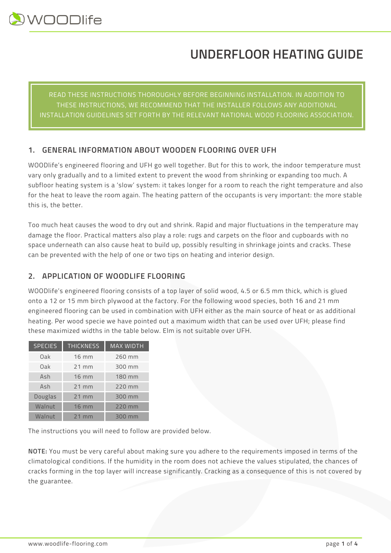# **UNDERFLOOR HEATING GUIDE**

READ THESE INSTRUCTIONS THOROUGHLY BEFORE BEGINNING INSTALLATION. IN ADDITION TO THESE INSTRUCTIONS, WE RECOMMEND THAT THE INSTALLER FOLLOWS ANY ADDITIONAL INSTALLATION GUIDELINES SET FORTH BY THE RELEVANT NATIONAL WOOD FLOORING ASSOCIATION.

# **1. GENERAL INFORMATION ABOUT WOODEN FLOORING OVER UFH**

WOODlife's engineered flooring and UFH go well together. But for this to work, the indoor temperature must vary only gradually and to a limited extent to prevent the wood from shrinking or expanding too much. A subfloor heating system is a 'slow' system: it takes longer for a room to reach the right temperature and also for the heat to leave the room again. The heating pattern of the occupants is very important: the more stable this is, the better.

Too much heat causes the wood to dry out and shrink. Rapid and major fluctuations in the temperature may damage the floor. Practical matters also play a role: rugs and carpets on the floor and cupboards with no space underneath can also cause heat to build up, possibly resulting in shrinkage joints and cracks. These can be prevented with the help of one or two tips on heating and interior design.

# **2. APPLICATION OF WOODLIFE FLOORING**

WOODlife's engineered flooring consists of a top layer of solid wood, 4.5 or 6.5 mm thick, which is glued onto a 12 or 15 mm birch plywood at the factory. For the following wood species, both 16 and 21 mm engineered flooring can be used in combination with UFH either as the main source of heat or as additional heating. Per wood specie we have pointed out a maximum width that can be used over UFH; please find these maximized widths in the table below. Elm is not suitable over UFH.

| <b>SPECIES</b> | <b>THICKNESS</b> | <b>MAX WIDTH</b> |
|----------------|------------------|------------------|
| Oak            | <b>16 mm</b>     | 260 mm           |
| Oak            | $21$ mm          | 300 mm           |
| Ash            | $16 \text{ mm}$  | 180 mm           |
| Ash            | $21$ mm          | 220 mm           |
| Douglas        | $21$ mm          | 300 mm           |
| Walnut         | <b>16 mm</b>     | 220 mm           |
| Walnut         | $21$ mm          | 300 mm           |

The instructions you will need to follow are provided below.

**NOTE:** You must be very careful about making sure you adhere to the requirements imposed in terms of the climatological conditions. If the humidity in the room does not achieve the values stipulated, the chances of cracks forming in the top layer will increase significantly. Cracking as a consequence of this is not covered by the guarantee.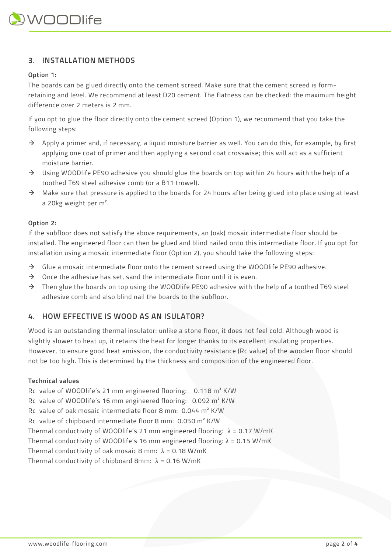## **3. INSTALLATION METHODS**

#### **Option 1:**

The boards can be glued directly onto the cement screed. Make sure that the cement screed is formretaining and level. We recommend at least D20 cement. The flatness can be checked: the maximum height difference over 2 meters is 2 mm.

If you opt to glue the floor directly onto the cement screed (Option 1), we recommend that you take the following steps:

- $\rightarrow$  Apply a primer and, if necessary, a liquid moisture barrier as well. You can do this, for example, by first applying one coat of primer and then applying a second coat crosswise; this will act as a sufficient moisture barrier.
- $\rightarrow$  Using WOODlife PE90 adhesive you should glue the boards on top within 24 hours with the help of a toothed T69 steel adhesive comb (or a B11 trowel).
- $\rightarrow$  Make sure that pressure is applied to the boards for 24 hours after being glued into place using at least a 20kg weight per m².

#### **Option 2:**

If the subfloor does not satisfy the above requirements, an (oak) mosaic intermediate floor should be installed. The engineered floor can then be glued and blind nailed onto this intermediate floor. If you opt for installation using a mosaic intermediate floor (Option 2), you should take the following steps:

- $\rightarrow$  Glue a mosaic intermediate floor onto the cement screed using the WOODlife PE90 adhesive.
- $\rightarrow$  Once the adhesive has set, sand the intermediate floor until it is even.
- $\rightarrow$  Then glue the boards on top using the WOODlife PE90 adhesive with the help of a toothed T69 steel adhesive comb and also blind nail the boards to the subfloor.

### **4. HOW EFFECTIVE IS WOOD AS AN ISULATOR?**

Wood is an outstanding thermal insulator: unlike a stone floor, it does not feel cold. Although wood is slightly slower to heat up, it retains the heat for longer thanks to its excellent insulating properties. However, to ensure good heat emission, the conductivity resistance (Rc value) of the wooden floor should not be too high. This is determined by the thickness and composition of the engineered floor.

#### **Technical values**

Rc value of WOODlife's 21 mm engineered flooring: 0.118 m² K/W Rc value of WOODlife's 16 mm engineered flooring: 0.092 m² K/W Rc value of oak mosaic intermediate floor 8 mm: 0.044 m² K/W Rc value of chipboard intermediate floor 8 mm: 0.050 m² K/W Thermal conductivity of WOODlife's 21 mm engineered flooring:  $\lambda = 0.17$  W/mK Thermal conductivity of WOODlife's 16 mm engineered flooring:  $λ = 0.15$  W/mK Thermal conductivity of oak mosaic 8 mm:  $\lambda = 0.18$  W/mK Thermal conductivity of chipboard 8mm:  $\lambda = 0.16$  W/mK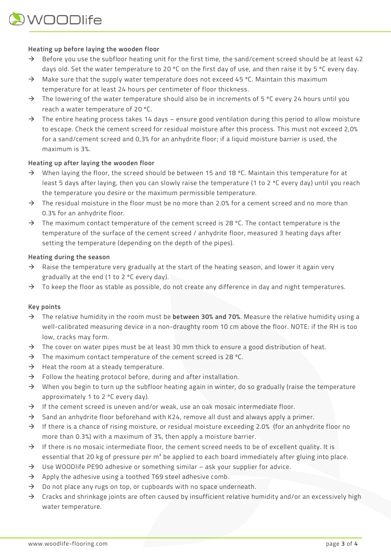#### **Heating up before laying the wooden floor**

- $\rightarrow$  Before you use the subfloor heating unit for the first time, the sand/cement screed should be at least 42 days old. Set the water temperature to 20 ºC on the first day of use, and then raise it by 5 ºC every day.
- $\rightarrow$  Make sure that the supply water temperature does not exceed 45 °C. Maintain this maximum temperature for at least 24 hours per centimeter of floor thickness.
- $\rightarrow$  The lowering of the water temperature should also be in increments of 5 °C every 24 hours until you reach a water temperature of 20 ºC.
- $\rightarrow$  The entire heating process takes 14 days ensure good ventilation during this period to allow moisture to escape. Check the cement screed for residual moisture after this process. This must not exceed 2,0% for a sand/cement screed and 0,3% for an anhydrite floor; if a liquid moisture barrier is used, the maximum is 3%.

#### **Heating up after laying the wooden floor**

- $\rightarrow$  When laying the floor, the screed should be between 15 and 18 °C. Maintain this temperature for at least 5 days after laying, then you can slowly raise the temperature (1 to 2 ºC every day) until you reach the temperature you desire or the maximum permissible temperature.
- $\rightarrow$  The residual moisture in the floor must be no more than 2.0% for a cement screed and no more than 0.3% for an anhydrite floor.
- $\rightarrow$  The maximum contact temperature of the cement screed is 28 °C. The contact temperature is the temperature of the surface of the cement screed / anhydrite floor, measured 3 heating days after setting the temperature (depending on the depth of the pipes).

#### **Heating during the season**

- $\rightarrow$  Raise the temperature very gradually at the start of the heating season, and lower it again very gradually at the end (1 to 2 ºC every day).
- $\rightarrow$  To keep the floor as stable as possible, do not create any difference in day and night temperatures.

#### **Key points**

- à The relative humidity in the room must be **between 30% and 70%**. Measure the relative humidity using a well-calibrated measuring device in a non-draughty room 10 cm above the floor. NOTE: if the RH is too low, cracks may form.
- $\rightarrow$  The cover on water pipes must be at least 30 mm thick to ensure a good distribution of heat.
- $\rightarrow$  The maximum contact temperature of the cement screed is 28 °C.
- $\rightarrow$  Heat the room at a steady temperature.
- $\rightarrow$  Follow the heating protocol before, during and after installation.
- $\rightarrow$  When you begin to turn up the subfloor heating again in winter, do so gradually (raise the temperature approximately 1 to 2 ºC every day).
- $\rightarrow$  If the cement screed is uneven and/or weak, use an oak mosaic intermediate floor.
- $\rightarrow$  Sand an anhydrite floor beforehand with K24, remove all dust and always apply a primer.
- $\rightarrow$  If there is a chance of rising moisture, or residual moisture exceeding 2.0% (for an anhydrite floor no more than 0.3%) with a maximum of 3%, then apply a moisture barrier.
- $\rightarrow$  If there is no mosaic intermediate floor, the cement screed needs to be of excellent quality. It is essential that 20 kg of pressure per m<sup>2</sup> be applied to each board immediately after gluing into place.
- $\rightarrow$  Use WOODlife PE90 adhesive or something similar ask your supplier for advice.
- $\rightarrow$  Apply the adhesive using a toothed T69 steel adhesive comb.
- $\rightarrow$  Do not place any rugs on top, or cupboards with no space underneath.
- $\rightarrow$  Cracks and shrinkage joints are often caused by insufficient relative humidity and/or an excessively high water temperature.